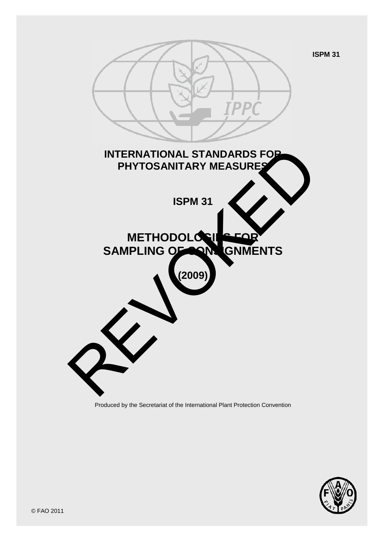

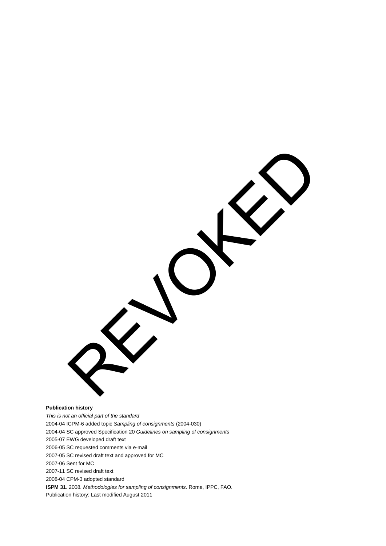**Publication history**

*This is not an official part of the standard* 2004-04 ICPM-6 added topic *Sampling of consignments* (2004-030) 2004-04 SC approved Specification 20 *Guidelines on sampling of consignments* 2005-07 EWG developed draft text 2006-05 SC requested comments via e-mail 2007-05 SC revised draft text and approved for MC 2007-06 Sent for MC 2007-11 SC revised draft text 2008-04 CPM-3 adopted standard **ISPM 31**. 2008*. Methodologies for sampling of consignments*. Rome, IPPC, FAO. Publication history: Last modified August 2011

REVOKED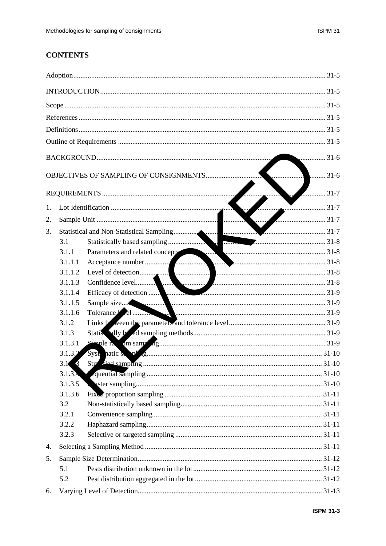# **CONTENTS**

|    |                            | $\ldots$ 31-6      |  |
|----|----------------------------|--------------------|--|
|    |                            | $\frac{1}{2}$ 31-7 |  |
| 1. |                            | $\bullet$ 31-7     |  |
| 2. |                            |                    |  |
| 3. |                            |                    |  |
|    | 3.1                        |                    |  |
|    | 3.1.1                      |                    |  |
|    | 3.1.1.1                    |                    |  |
|    | 3.1.1.2                    |                    |  |
|    | 3.1.1.3                    |                    |  |
|    | 3.1.1.4                    |                    |  |
|    | 3.1.1.5                    |                    |  |
|    | 3.1.1.6                    |                    |  |
|    | 3.1.2                      |                    |  |
|    | 3.1.3                      |                    |  |
|    | 3.1.3.1                    |                    |  |
|    | 3.1.3.2                    |                    |  |
|    | $3.1 \overline{\smash{3}}$ |                    |  |
|    | 3.1.3.4                    |                    |  |
|    | 3.1.3.5                    |                    |  |
|    | 3.1.3.6                    |                    |  |
|    | 3.2                        |                    |  |
|    | 3.2.1                      |                    |  |
|    | 3.2.2                      |                    |  |
|    | 3.2.3                      |                    |  |
| 4. |                            |                    |  |
| 5. |                            |                    |  |
|    | 5.1                        |                    |  |
|    | 5.2                        |                    |  |
| 6. |                            |                    |  |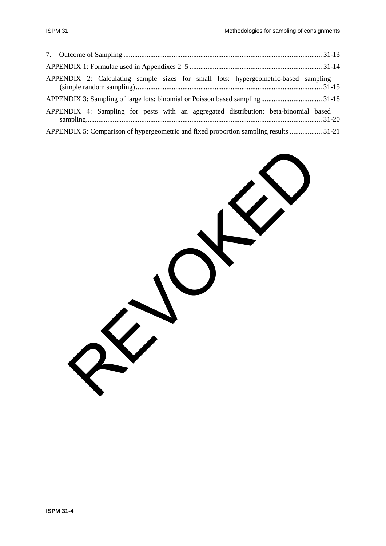| APPENDIX 2: Calculating sample sizes for small lots: hypergeometric-based sampling    |  |
|---------------------------------------------------------------------------------------|--|
|                                                                                       |  |
| APPENDIX 4: Sampling for pests with an aggregated distribution: beta-binomial based   |  |
| APPENDIX 5: Comparison of hypergeometric and fixed proportion sampling results  31-21 |  |

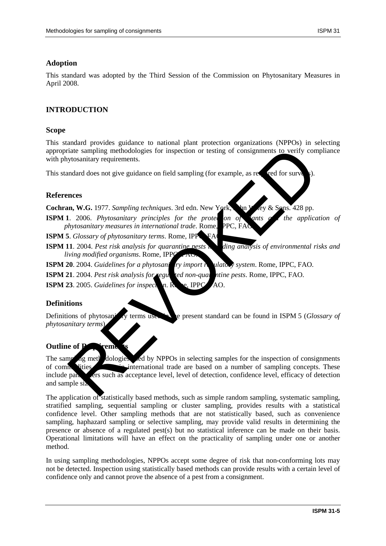### **Adoption**

This standard was adopted by the Third Session of the Commission on Phytosanitary Measures in April 2008.

### **INTRODUCTION**

#### **Scope**

This standard provides guidance to national plant protection organizations (NPPOs) in selecting appropriate sampling methodologies for inspection or testing of consignments to verify compliance with phytosanitary requirements.

This standard does not give guidance on field sampling (for example, as required for surv

#### **References**

Cochran, W.G. 1977. *Sampling techniques*. 3rd edn. New York, John Wiley & Sons. 428 pp.

**ISPM 1.** 2006. *Phytosanitary principles for the protection of ants a* the application of *phytosanitary measures in international trade. Rome, PPC, FAC* 

**ISPM 5**. *Glossary of phytosanitary terms*. Rome, IPPC, FA

**ISPM 11**. 2004. *Pest risk analysis for quarantine pests in ding analysis of environmental risks and living modified organisms*. Rome, IPP

**ISPM 20**. 2004. *Guidelines for a phytosani Iry import regulatory system.* Rome, IPPC, FAO.

**ISPM 21**. 2004. *Pest risk analysis for regulated non-quarantine pests*. Rome, IPPC, FAO.

**ISPM 23.** 2005. *Guidelines for inspection*. Rome, IPPC, AO.

### **Definitions**

Definitions of phytosanitary terms used in the present standard can be found in ISPM 5 (*Glossary of phytosanitary terms*).

#### **Outline of I**

The sampling methodologies wed by NPPOs in selecting samples for the inspection of consignments of commodities moving international trade are based on a number of sampling concepts. These include parameters such as acceptance level, level of detection, confidence level, efficacy of detection and sample si iate sampling methodologies for inspection or testing of consignments to verify controllar product profiles.<br>
State of the guidance on field sampling (for example, as repeated for survey).<br>
In W.G. 1977. Sampling technique

The application of statistically based methods, such as simple random sampling, systematic sampling, stratified sampling, sequential sampling or cluster sampling, provides results with a statistical confidence level. Other sampling methods that are not statistically based, such as convenience sampling, haphazard sampling or selective sampling, may provide valid results in determining the presence or absence of a regulated pest(s) but no statistical inference can be made on their basis. Operational limitations will have an effect on the practicality of sampling under one or another method.

In using sampling methodologies, NPPOs accept some degree of risk that non-conforming lots may not be detected. Inspection using statistically based methods can provide results with a certain level of confidence only and cannot prove the absence of a pest from a consignment.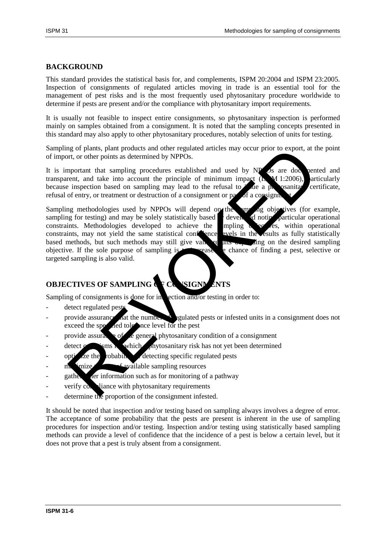### **BACKGROUND**

This standard provides the statistical basis for, and complements, ISPM 20:2004 and ISPM 23:2005. Inspection of consignments of regulated articles moving in trade is an essential tool for the management of pest risks and is the most frequently used phytosanitary procedure worldwide to determine if pests are present and/or the compliance with phytosanitary import requirements.

It is usually not feasible to inspect entire consignments, so phytosanitary inspection is performed mainly on samples obtained from a consignment. It is noted that the sampling concepts presented in this standard may also apply to other phytosanitary procedures, notably selection of units for testing.

Sampling of plants, plant products and other regulated articles may occur prior to export, at the point of import, or other points as determined by NPPOs.

It is important that sampling procedures established and used by NPOs are documented and transparent, and take into account the principle of minimum impact  $(X, M 1:2006)$ , articularly transparent, and take into account the principle of minimum impact  $(NM 1:2006)$ , articularly because inspection based on sampling may lead to the refusal to  $\lambda$  de a physosanitary certificate, refusal of entry, or treatment or destruction of a consignment or  $p\bar{q}$  of a consigni

Sampling methodologies used by NPPOs will depend on the sample objectives (for example, sampling for testing) and may be solely statistically based developed noting particular operational constraints. Methodologies developed to achieve the  $\frac{1}{2}$  mpling  $\frac{1}{2}$  express, within operational constraints, may not yield the same statistical confidence evels in the results as fully statistically based methods, but such methods may still give valid results on the desired sampling objective. If the sole purpose of sampling is  $t$  rease the chance of finding a pest, selective or targeted sampling is also valid. grof plants, plants products and other regulated articles may occur prior to export, at the products and other regulated by NPPos.<br>
Important that sampling procedures established and used by NP is are does<br>
in inspection b

# **OBJECTIVES OF SAMPLING & F CONSIGNMENTS**

Sampling of consignments is done for inspection and/or testing in order to:

- detect regulated pest
- provide assurance that the number of regulated pests or infested units in a consignment does not  $e$  exceed the specified tolerance level for the pest
- provide assurance of the general phytosanitary condition of a consignment
- $\det$   $\cos$  is  $\sin$  which a phytosanitary risk has not yet been determined
- optimize the robability detecting specific regulated pests
- $\dot{m}$  imize  $\dot{m}$  of available sampling resources
- gather a er information such as for monitoring of a pathway
- verify compliance with phytosanitary requirements
- determine the proportion of the consignment infested.

It should be noted that inspection and/or testing based on sampling always involves a degree of error. The acceptance of some probability that the pests are present is inherent in the use of sampling procedures for inspection and/or testing. Inspection and/or testing using statistically based sampling methods can provide a level of confidence that the incidence of a pest is below a certain level, but it does not prove that a pest is truly absent from a consignment.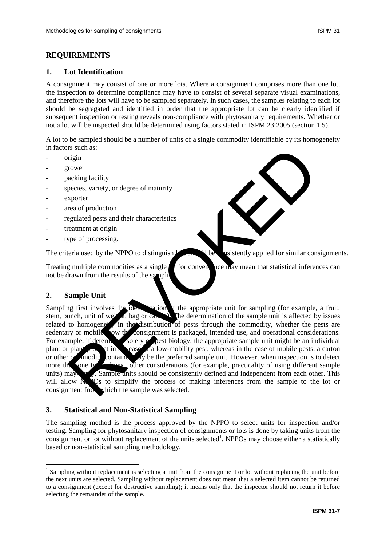### **REQUIREMENTS**

### **1. Lot Identification**

A consignment may consist of one or more lots. Where a consignment comprises more than one lot, the inspection to determine compliance may have to consist of several separate visual examinations, and therefore the lots will have to be sampled separately. In such cases, the samples relating to each lot should be segregated and identified in order that the appropriate lot can be clearly identified if subsequent inspection or testing reveals non-compliance with phytosanitary requirements. Whether or not a lot will be inspected should be determined using factors stated in ISPM 23:2005 (section 1.5).

A lot to be sampled should be a number of units of a single commodity identifiable by its homogeneity in factors such as:

- origin
- grower
- packing facility
- species, variety, or degree of maturity
- exporter
- area of production
- regulated pests and their characteristics
- treatment at origin
- type of processing.

The criteria used by the NPPO to distinguish  $\mathbf{V}$  be consistently applied for similar consignments.

Treating multiple commodities as a single  $\int$  t for conventing the may mean that statistical inferences can not be drawn from the results of the sampli

### **2. Sample Unit**

<u>.</u>

Sampling first involves the identification of the appropriate unit for sampling (for example, a fruit, stem, bunch, unit of weight, bag or can. The determination of the sample unit is affected by issues related to homogene<sup>t</sup> in the distribution of pests through the commodity, whether the pests are sedentary or mobile, you the consignment is packaged, intended use, and operational considerations. For example, if determined solely  $\alpha$  best biology, the appropriate sample unit might be an individual plant or plant a case of mobile pests, a carton plant or plant or plant or plant or plant. or other commodity container may be the preferred sample unit. However, when inspection is to detect more than one type of pest, other considerations (for example, practicality of using different sample units) may apply. Sample units should be consistently defined and independent from each other. This will allow  $N$ POs to simplify the process of making inferences from the sample to the lot or consignment from which the sample was selected. In the content of the sample with the sample with the sample to the content of the sample to the sample of the content of the sample of the sample of the sample of the sample of the sample of the sample of the sample of th

### **3. Statistical and Non-Statistical Sampling**

The sampling method is the process approved by the NPPO to select units for inspection and/or testing. Sampling for phytosanitary inspection of consignments or lots is done by taking units from the consignment or lot without replacement of the units selected<sup>[1](#page-6-0)</sup>. NPPOs may choose either a statistically based or non-statistical sampling methodology.

<span id="page-6-0"></span><sup>&</sup>lt;sup>1</sup> Sampling without replacement is selecting a unit from the consignment or lot without replacing the unit before the next units are selected. Sampling without replacement does not mean that a selected item cannot be returned to a consignment (except for destructive sampling); it means only that the inspector should not return it before selecting the remainder of the sample.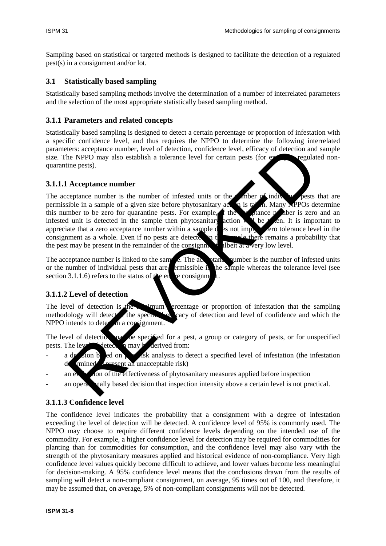Sampling based on statistical or targeted methods is designed to facilitate the detection of a regulated pest(s) in a consignment and/or lot.

### **3.1 Statistically based sampling**

Statistically based sampling methods involve the determination of a number of interrelated parameters and the selection of the most appropriate statistically based sampling method.

### **3.1.1 Parameters and related concepts**

Statistically based sampling is designed to detect a certain percentage or proportion of infestation with a specific confidence level, and thus requires the NPPO to determine the following interrelated parameters: acceptance number, level of detection, confidence level, efficacy of detection and sample size. The NPPO may also establish a tolerance level for certain pests (for  $e<sub>x</sub>$  regulated nonquarantine pests).

### **3.1.1.1 Acceptance number**

The acceptance number is the number of infested units or the number of individual pests that are permissible in a sample of a given size before phytosanitary at  $\bullet$  is taken. Many MPPOs determine permissible in a sample of a given size before phytosanitary  $\alpha$  is taken. this number to be zero for quarantine pests. For example,  $\epsilon$  the acceptance number is zero and an infested unit is detected in the sample then phytosanitary action will be taken. It is important to appreciate that a zero acceptance number within a sample  $d$  as not imply a zero tolerance level in the consignment as a whole. Even if no pests are detected in the sample there remains a probability that the pest may be present in the remainder of the consignment, albeit at a very low level. The state of the specifical priori and the specifical contribute in the specifical control and the specifical control and the specifical term of the specifical control and the specifical control and the specifical control

The acceptance number is linked to the sample. The acceptance number is the number of infested units or the number of individual pests that are ermissible in the sample whereas the tolerance level (see section 3.1.1.6) refers to the status of the entire consignment.

## **3.1.1.2 Level of detection**

The level of detection is the minimum ercentage or proportion of infestation that the sampling methodology will detect the specified eacy of detection and level of confidence and which the  $NPPO$  intends to detect in a consignment.

The level of detection may be specified for a pest, a group or category of pests, or for unspecified pests. The level of detection may be derived from:

- a decision based on perfect a specified level of infestation (the infestation  $\alpha$  $d$   $r$   $r$  present an unacceptable risk)
- an  $e_{\lambda}$  and of the effectiveness of phytosanitary measures applied before inspection
- an operationally based decision that inspection intensity above a certain level is not practical.

# **3.1.1.3 Confidence level**

The confidence level indicates the probability that a consignment with a degree of infestation exceeding the level of detection will be detected. A confidence level of 95% is commonly used. The NPPO may choose to require different confidence levels depending on the intended use of the commodity. For example, a higher confidence level for detection may be required for commodities for planting than for commodities for consumption, and the confidence level may also vary with the strength of the phytosanitary measures applied and historical evidence of non-compliance. Very high confidence level values quickly become difficult to achieve, and lower values become less meaningful for decision-making. A 95% confidence level means that the conclusions drawn from the results of sampling will detect a non-compliant consignment, on average, 95 times out of 100, and therefore, it may be assumed that, on average, 5% of non-compliant consignments will not be detected.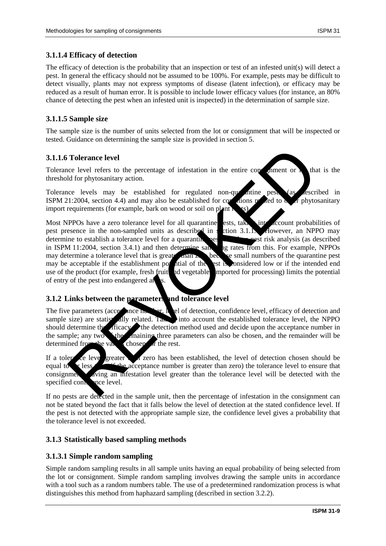### **3.1.1.4 Efficacy of detection**

The efficacy of detection is the probability that an inspection or test of an infested unit(s) will detect a pest. In general the efficacy should not be assumed to be 100%. For example, pests may be difficult to detect visually, plants may not express symptoms of disease (latent infection), or efficacy may be reduced as a result of human error. It is possible to include lower efficacy values (for instance, an 80% chance of detecting the pest when an infested unit is inspected) in the determination of sample size.

### **3.1.1.5 Sample size**

The sample size is the number of units selected from the lot or consignment that will be inspected or tested. Guidance on determining the sample size is provided in section 5.

#### **3.1.1.6 Tolerance level**

Tolerance level refers to the percentage of infestation in the entire consignment or  $\Gamma$  that is the threshold for phytosanitary action.

Tolerance levels may be established for regulated non-quarantine pests (as described in ISPM 21:2004, section 4.4) and may also be established for conditions related to  $\alpha$  or phytosanitary import requirements (for example, bark on wood or soil on plant

Most NPPOs have a zero tolerance level for all quarantine ests, taking into account probabilities of pest presence in the non-sampled units as described in section 3.1.1. However, an NPPO may determine to establish a tolerance level for a quarantine pest  $\mathbf{r}$  best risk analysis (as described in ISPM 11:2004, section 3.4.1) and then determine sample are from this. For example, NPPOs may determine a tolerance level that is greater than zero because small numbers of the quarantine pest may be acceptable if the establishment potential of the pest is considered low or if the intended end use of the product (for example, fresh fruit and vegetable imported for processing) limits the potential of entry of the pest into endangered areas. Tolerance level<br>
accelevel refers to the percentage of infestation in the entire compared or<br>
level refers to the percentage of infestation in the entire compared to<br>
recurre levels may be established for regulated non-qua

### **3.1.2 Links between the parameters and tolerance level**

The five parameters (acceptance number, level of detection, confidence level, efficacy of detection and sample size) are statistically related. Taking into account the established tolerance level, the NPPO should determine the efficacy. The detection method used and decide upon the acceptance number in the sample; any two sthe maining three parameters can also be chosen, and the remainder will be determined from the values chosen of the rest.

If a tolerate level greater than zero has been established, the level of detection chosen should be equal to  $\mathbf{r}$  less than, if the acceptance number is greater than zero) the tolerance level to ensure that consignment aving an infestation level greater than the tolerance level will be detected with the specified confidence level.

If no pests are detected in the sample unit, then the percentage of infestation in the consignment can not be stated beyond the fact that it falls below the level of detection at the stated confidence level. If the pest is not detected with the appropriate sample size, the confidence level gives a probability that the tolerance level is not exceeded.

### **3.1.3 Statistically based sampling methods**

### **3.1.3.1 Simple random sampling**

Simple random sampling results in all sample units having an equal probability of being selected from the lot or consignment. Simple random sampling involves drawing the sample units in accordance with a tool such as a random numbers table. The use of a predetermined randomization process is what distinguishes this method from haphazard sampling (described in section 3.2.2).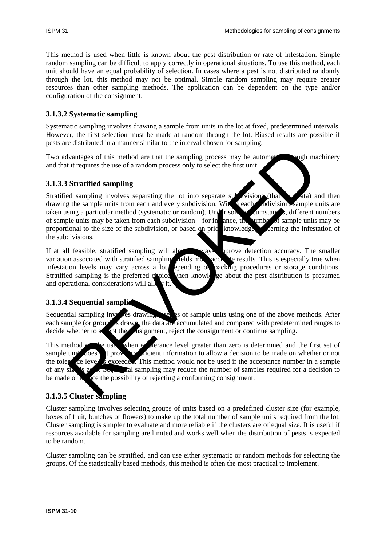This method is used when little is known about the pest distribution or rate of infestation. Simple random sampling can be difficult to apply correctly in operational situations. To use this method, each unit should have an equal probability of selection. In cases where a pest is not distributed randomly through the lot, this method may not be optimal. Simple random sampling may require greater resources than other sampling methods. The application can be dependent on the type and/or configuration of the consignment.

### **3.1.3.2 Systematic sampling**

Systematic sampling involves drawing a sample from units in the lot at fixed, predetermined intervals. However, the first selection must be made at random through the lot. Biased results are possible if pests are distributed in a manner similar to the interval chosen for sampling.

Two advantages of this method are that the sampling process may be automated through machinery and that it requires the use of a random process only to select the first unit.

### **3.1.3.3 Stratified sampling**

Stratified sampling involves separating the lot into separate subdivisions (that  $\sim$  at a) and then drawing the sample units from each and every subdivision. With a each subdivision, sample units are taken using a particular method (systematic or random). Under some cumstances, different numbers of sample units may be taken from each subdivision – for in ance, the umber of sample units may be proportional to the size of the subdivision, or based on price knowledge concerning the infestation of the subdivisions. Vantages of this method are that the sampling process may be automated it requires the use of a random process only to select the first unit.<br>
Stratified sampling<br>
de sampling involves separating the lot into separate such

If at all feasible, stratified sampling will almost always uprove detection accuracy. The smaller variation associated with stratified sampling  $\chi$  relds more accurate results. This is especially true when infestation levels may vary across a lot epending on packing procedures or storage conditions. Stratified sampling is the preferred choice when knowledge about the pest distribution is presumed and operational considerations will all v it.

## **3.1.3.4 Sequential sampling**

Sequential sampling involves drawing a series of sample units using one of the above methods. After each sample (or group) is drawn, the data are accumulated and compared with predetermined ranges to decide whether to a spot the  $\epsilon$  osignment, reject the consignment or continue sampling.

This method  $\triangle$  be used when a tolerance level greater than zero is determined and the first set of sample unit does t provide sufficient information to allow a decision to be made on whether or not the tolerate level is exceeded. This method would not be used if the acceptance number in a sample of any size  $\alpha$  is zero. Sequential sampling may reduce the number of samples required for a decision to be made or  $\lambda$  and  $\alpha$  reduce the possibility of rejecting a conforming consignment.

# **3.1.3.5 Cluster sampling**

Cluster sampling involves selecting groups of units based on a predefined cluster size (for example, boxes of fruit, bunches of flowers) to make up the total number of sample units required from the lot. Cluster sampling is simpler to evaluate and more reliable if the clusters are of equal size. It is useful if resources available for sampling are limited and works well when the distribution of pests is expected to be random.

Cluster sampling can be stratified, and can use either systematic or random methods for selecting the groups. Of the statistically based methods, this method is often the most practical to implement.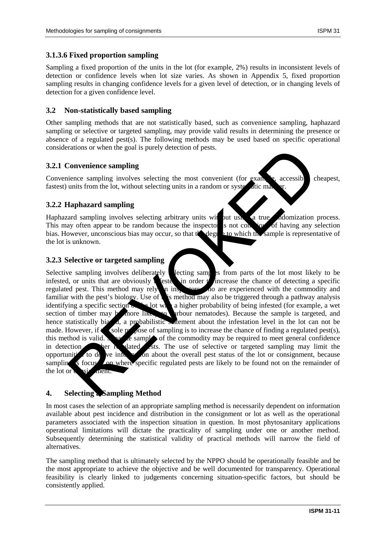### **3.1.3.6 Fixed proportion sampling**

Sampling a fixed proportion of the units in the lot (for example, 2%) results in inconsistent levels of detection or confidence levels when lot size varies. As shown in Appendix 5, fixed proportion sampling results in changing confidence levels for a given level of detection, or in changing levels of detection for a given confidence level.

### **3.2 Non-statistically based sampling**

Other sampling methods that are not statistically based, such as convenience sampling, haphazard sampling or selective or targeted sampling, may provide valid results in determining the presence or absence of a regulated pest(s). The following methods may be used based on specific operational considerations or when the goal is purely detection of pests.

### **3.2.1 Convenience sampling**

Convenience sampling involves selecting the most convenient (for example, accessible, cheapest, fastest) units from the lot, without selecting units in a random or systematic m

### **3.2.2 Haphazard sampling**

Haphazard sampling involves selecting arbitrary units with put using a true randomization process. This may often appear to be random because the inspector is not conscious of having any selection bias. However, unconscious bias may occur, so that  $t \cdot \log t$  at to which the sample is representative of bias. However, unconscious bias may occur, so that  $t \triangle$  degrees the lot is unknown.

### **3.2.3 Selective or targeted sampling**

Selective sampling involves deliberately  $\blacksquare$  lecting samples from parts of the lot most likely to be infested, or units that are obviously  $\int \mathbf{f} \cdot d\mathbf{r}$  increase the chance of detecting a specific regulated pest. This method may rely in insectors who are experienced with the commodity and familiar with the pest's biology. Use of  $\mathbf k$  is method may also be triggered through a pathway analysis identifying a specific section  $\sim$  the lot with a higher probability of being infested (for example, a wet section of timber may be more likely to harbour nematodes). Because the sample is targeted, and hence statistically biased, a probabilistic statement about the infestation level in the lot can not be made. However, if  $\bullet$  sole purpose of sampling is to increase the chance of finding a regulated pest(s), this method is valid. Separate samples of the commodity may be required to meet general confidence in detection of the regulated per regulated per regulated per regulated per regulated per regulated per regulated per regulated per regulated per regulated per regulated per regulated per regulated per regulated per regula opportunities to derive into  $\sim$  on about the overall pest status of the lot or consignment, because sampling is focused on where specific regulated pests are likely to be found not on the remainder of the lot or consignment. The strain of the control of the specific properties.<br>
The strain of the specific properties ampling involves selecting the most convenient (for exampling accessible cluster ampling involves selecting antisting in a random

## **4. Selecting a Sampling Method**

In most cases the selection of an appropriate sampling method is necessarily dependent on information available about pest incidence and distribution in the consignment or lot as well as the operational parameters associated with the inspection situation in question. In most phytosanitary applications operational limitations will dictate the practicality of sampling under one or another method. Subsequently determining the statistical validity of practical methods will narrow the field of alternatives.

The sampling method that is ultimately selected by the NPPO should be operationally feasible and be the most appropriate to achieve the objective and be well documented for transparency. Operational feasibility is clearly linked to judgements concerning situation-specific factors, but should be consistently applied.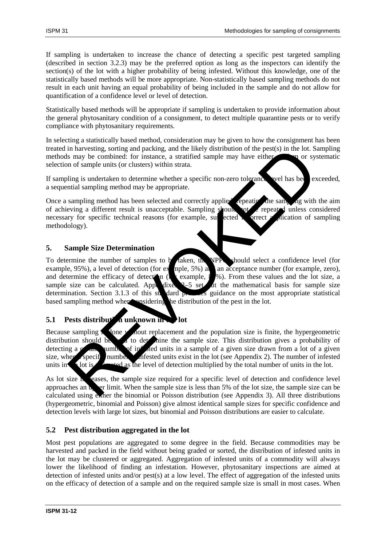If sampling is undertaken to increase the chance of detecting a specific pest targeted sampling (described in section 3.2.3) may be the preferred option as long as the inspectors can identify the section(s) of the lot with a higher probability of being infested. Without this knowledge, one of the statistically based methods will be more appropriate. Non-statistically based sampling methods do not result in each unit having an equal probability of being included in the sample and do not allow for quantification of a confidence level or level of detection.

Statistically based methods will be appropriate if sampling is undertaken to provide information about the general phytosanitary condition of a consignment, to detect multiple quarantine pests or to verify compliance with phytosanitary requirements.

In selecting a statistically based method, consideration may be given to how the consignment has been treated in harvesting, sorting and packing, and the likely distribution of the pest(s) in the lot. Sampling methods may be combined: for instance, a stratified sample may have either **random** or systematic selection of sample units (or clusters) within strata.

If sampling is undertaken to determine whether a specific non-zero tolerance evel has been exceeded, a sequential sampling method may be appropriate.

Once a sampling method has been selected and correctly applied, repeating the sampling with the aim of achieving a different result is unacceptable. Sampling should not be repeated unless considered necessary for specific technical reasons (for example, suspected incorrect a prication of sampling methodology).

### **5. Sample Size Determination**

To determine the number of samples to be taken, the NPP should select a confidence level (for example, 95%), a level of detection (for example, 5%) and acceptance number (for example, zero), and determine the efficacy of detection ( $\frac{1}{2}$  example,  $\frac{1}{2}$ %). From these values and the lot size, a sample size can be calculated. Appendixes  $2-5$  set out the mathematical basis for sample size determination. Section 3.1.3 of this standard provides guidance on the most appropriate statistical based sampling method when onsidering the distribution of the pest in the lot. in harvesting, sorting and packing, and the likely distribution of the pest(s) in the lot. Since its may be combined: for instance, a stratified sample may have either and of sample units (or clusters) within strata.<br>
ling

## **5.1 Pests distribution unknown in the lot**

Because sampling  $\hat{\mathbf{x}}$  shows a not replacement and the population size is finite, the hypergeometric distribution should be  $\mathcal{U}$  to determine the sample size. This distribution gives a probability of detecting a c<sub>ertain</sub> number of infested units in a sample of a given size drawn from a lot of a given size, when specific number of infested units exist in the lot (see Appendix 2). The number of infested units in  $\bullet$  lot is  $\bullet$  ested as the level of detection multiplied by the total number of units in the lot.

As lot size  $\hat{n}$  ceases, the sample size required for a specific level of detection and confidence level approaches an upper limit. When the sample size is less than  $5\%$  of the lot size, the sample size can be calculated using exter the binomial or Poisson distribution (see Appendix 3). All three distributions (hypergeometric, binomial and Poisson) give almost identical sample sizes for specific confidence and detection levels with large lot sizes, but binomial and Poisson distributions are easier to calculate.

## **5.2 Pest distribution aggregated in the lot**

Most pest populations are aggregated to some degree in the field. Because commodities may be harvested and packed in the field without being graded or sorted, the distribution of infested units in the lot may be clustered or aggregated. Aggregation of infested units of a commodity will always lower the likelihood of finding an infestation. However, phytosanitary inspections are aimed at detection of infested units and/or pest(s) at a low level. The effect of aggregation of the infested units on the efficacy of detection of a sample and on the required sample size is small in most cases. When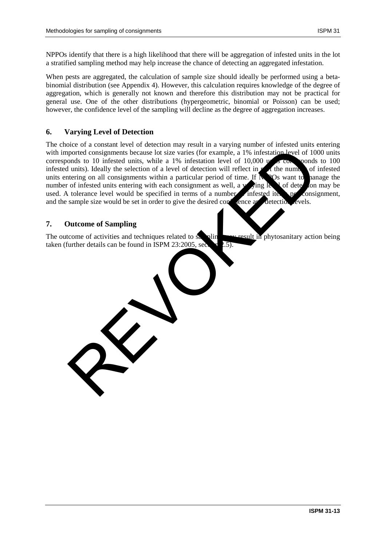NPPOs identify that there is a high likelihood that there will be aggregation of infested units in the lot a stratified sampling method may help increase the chance of detecting an aggregated infestation.

When pests are aggregated, the calculation of sample size should ideally be performed using a betabinomial distribution (see Appendix 4). However, this calculation requires knowledge of the degree of aggregation, which is generally not known and therefore this distribution may not be practical for general use. One of the other distributions (hypergeometric, binomial or Poisson) can be used; however, the confidence level of the sampling will decline as the degree of aggregation increases.

### **6. Varying Level of Detection**

The choice of a constant level of detection may result in a varying number of infested units entering with imported consignments because lot size varies (for example, a 1% infestation level of 1000 units corresponds to 10 infested units, while a 1% infestation level of 10,000  $\mu$  s corresponds to 100 infested units). Ideally the selection of a level of detection will reflect in  $\mu$  the number of infested units entering on all consignments within a particular period of time. If  $\mathbb{N}$  POs want to hanage the number of infested units entering with each consignment as well, a  $\sqrt{\sin g}$  level of detection may be used. A tolerance level would be specified in terms of a number onfested item per consignment, and the sample size would be set in order to give the desired confidence and detection levels. structure of sampling<br>the deviation and the selection of a level of the interaction of the december of the selection of a level of detection will reflect in<br>tunis). Ideally the selection of a level of detection will reflec

### **7. Outcome of Sampling**

The outcome of activities and techniques related to sampling may result in phytosanitary action being taken (further details can be found in ISPM 23:2005, section 2.5).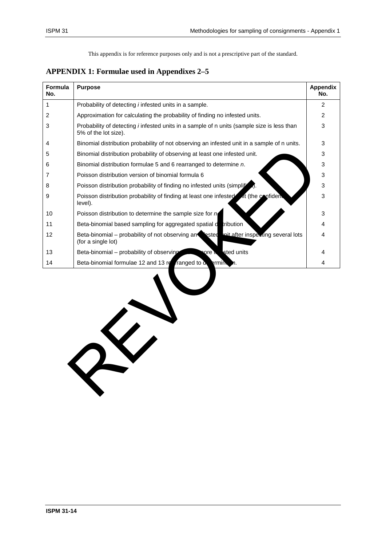## **APPENDIX 1: Formulae used in Appendixes 2–5**

REVOKED

| <b>Formula</b><br>No. | <b>Purpose</b>                                                                                                            | <b>Appendix</b><br>No. |
|-----------------------|---------------------------------------------------------------------------------------------------------------------------|------------------------|
| 1                     | Probability of detecting <i>i</i> infested units in a sample.                                                             | $\overline{2}$         |
| 2                     | Approximation for calculating the probability of finding no infested units.                                               | 2                      |
| 3                     | Probability of detecting <i>i</i> infested units in a sample of n units (sample size is less than<br>5% of the lot size). | 3                      |
| 4                     | Binomial distribution probability of not observing an infested unit in a sample of n units.                               | 3                      |
| 5                     | Binomial distribution probability of observing at least one infested unit.                                                | 3                      |
| 6                     | Binomial distribution formulae 5 and 6 rearranged to determine n.                                                         | 3                      |
| 7                     | Poisson distribution version of binomial formula 6                                                                        | 3                      |
| 8                     | Poisson distribution probability of finding no infested units (simplifi-                                                  | 3                      |
| 9                     | Poisson distribution probability of finding at least one infested at (the confident<br>level).                            | 3                      |
| 10                    | Poisson distribution to determine the sample size for n                                                                   | 3                      |
| 11                    | Beta-binomial based sampling for aggregated spatial detribution                                                           | 4                      |
| 12                    | Beta-binomial - probability of not observing an ested unit after inspecting several lots<br>(for a single lot)            | 4                      |
| 13                    | sted units<br>Beta-binomial – probability of observing<br>nore in                                                         | 4                      |
| 14                    | Beta-binomial formulae 12 and 13 $ref$ ranged to $\alpha$ ermin n.                                                        | 4                      |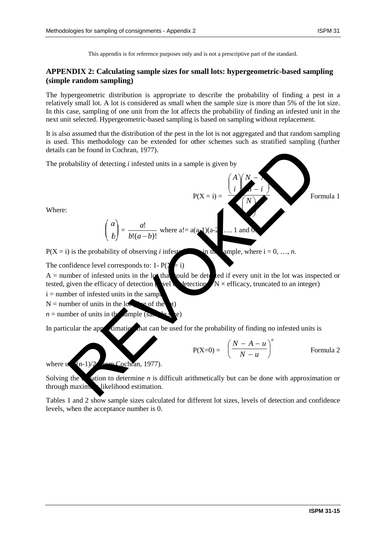### **APPENDIX 2: Calculating sample sizes for small lots: hypergeometric-based sampling (simple random sampling)**

The hypergeometric distribution is appropriate to describe the probability of finding a pest in a relatively small lot. A lot is considered as small when the sample size is more than 5% of the lot size. In this case, sampling of one unit from the lot affects the probability of finding an infested unit in the next unit selected. Hypergeometric-based sampling is based on sampling without replacement.

It is also assumed that the distribution of the pest in the lot is not aggregated and that random sampling is used. This methodology can be extended for other schemes such as stratified sampling (further details can be found in Cochran, 1977).



The confidence level corresponds to: 1-  $P(Y = i)$ 

 $A =$  number of infested units in the lot that could be detected if every unit in the lot was inspected or tested, given the efficacy of detection  $\chi$  vel  $\chi$  detection  $\chi$  × efficacy, truncated to an integer)

 $i =$  number of infested units in the sample

 $N =$  number of units in the lots  $\mathbb{R}^n$  see of the

 $n =$  number of units in the sample  $\alpha$ 

In particular the approximation that can be used for the probability of finding no infested units is

$$
P(X=0) = \left(\frac{N-A-u}{N-u}\right)^n \qquad \text{Formula 2}
$$

where  $u \cdot (n-1)/2$  (*from Cochran, 1977*).

Solving the equation to determine *n* is difficult arithmetically but can be done with approximation or through maximum likelihood estimation.

Tables 1 and 2 show sample sizes calculated for different lot sizes, levels of detection and confidence levels, when the acceptance number is 0.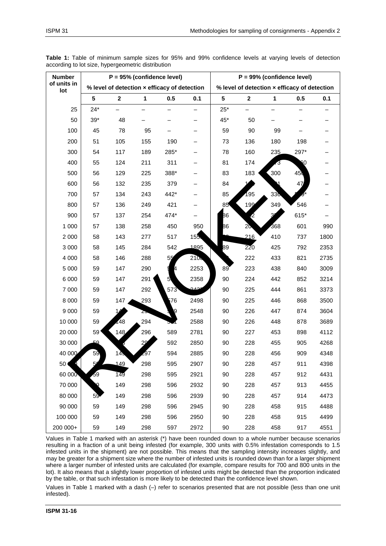| <b>Number</b>         |       |             | $P = 95%$ (confidence level) |                                              |                  |       |                |     | $P = 99\%$ (confidence level)                |      |
|-----------------------|-------|-------------|------------------------------|----------------------------------------------|------------------|-------|----------------|-----|----------------------------------------------|------|
| of units in<br>lot    |       |             |                              | % level of detection x efficacy of detection |                  |       |                |     | % level of detection x efficacy of detection |      |
|                       | 5     | $\mathbf 2$ | 1                            | 0.5                                          | 0.1              | 5     | $\mathbf 2$    | 1   | 0.5                                          | 0.1  |
| 25                    | $24*$ |             |                              |                                              |                  | $25*$ |                |     |                                              |      |
| 50                    | $39*$ | 48          |                              |                                              |                  | 45*   | 50             |     |                                              |      |
| 100                   | 45    | 78          | 95                           |                                              |                  | 59    | 90             | 99  |                                              |      |
| 200                   | 51    | 105         | 155                          | 190                                          |                  | 73    | 136            | 180 | 198                                          |      |
| 300                   | 54    | 117         | 189                          | 285*                                         |                  | 78    | 160            | 235 | 297*                                         |      |
| 400                   | 55    | 124         | 211                          | 311                                          |                  | 81    | 174            | 73  | 60                                           |      |
| 500                   | 56    | 129         | 225                          | 388*                                         |                  | 83    | 183            | 300 | 45 <sub>0</sub>                              |      |
| 600                   | 56    | 132         | 235                          | 379                                          |                  | 84    |                |     | 47                                           |      |
| 700                   | 57    | 134         | 243                          | 442*                                         |                  | 85    | 195            | 336 |                                              |      |
| 800                   | 57    | 136         | 249                          | 421                                          |                  | 85    | 199            | 349 | 546                                          |      |
| 900                   | 57    | 137         | 254                          | 474*                                         |                  | β6    | Ω              | 3   | 615*                                         |      |
| 1 0 0 0               | 57    | 138         | 258                          | 450                                          | 950              | 86    | 2 <sub>0</sub> | 368 | 601                                          | 990  |
| 2 0 0 0               | 58    | 143         | 277                          | 517                                          | 155              |       | 216            | 410 | 737                                          | 1800 |
| 3 0 0 0               | 58    | 145         | 284                          | 542                                          | 1895             | 89    | 220            | 425 | 792                                          | 2353 |
| 4 0 0 0               | 58    | 146         | 288                          | 55                                           | 210 <sub>6</sub> |       | 222            | 433 | 821                                          | 2735 |
| 5 0 0 0               | 59    | 147         | 290                          | 4                                            | 2253             | 89    | 223            | 438 | 840                                          | 3009 |
| 6 0 0 0               | 59    | 147         | 291                          | 5                                            | 2358             | 90    | 224            | 442 | 852                                          | 3214 |
| 7 0 0 0               | 59    | 147         | 292                          | 573                                          | تحەم             | 90    | 225            | 444 | 861                                          | 3373 |
| 8 0 0 0               | 59    | 147         | 293                          | 76                                           | 2498             | 90    | 225            | 446 | 868                                          | 3500 |
| 9 0 0 0               | 59    | 14          | zτ                           | q                                            | 2548             | 90    | 226            | 447 | 874                                          | 3604 |
| 10 000                | 59    | 48          | 294                          |                                              | 2588             | 90    | 226            | 448 | 878                                          | 3689 |
| 20 000                | 59    | 148         | 296                          | 589                                          | 2781             | 90    | 227            | 453 | 898                                          | 4112 |
| 30 000                | 59    |             | 29                           | 592                                          | 2850             | 90    | 228            | 455 | 905                                          | 4268 |
| 40 000                | 59    | 14.         | -97                          | 594                                          | 2885             | 90    | 228            | 456 | 909                                          | 4348 |
| 50 <sub>6</sub><br>Q. |       | 149         | 298                          | 595                                          | 2907             | 90    | 228            | 457 | 911                                          | 4398 |
| 60 000                | 59    | 149         | 298                          | 595                                          | 2921             | 90    | 228            | 457 | 912                                          | 4431 |
| 70 000                | Q     | 149         | 298                          | 596                                          | 2932             | 90    | 228            | 457 | 913                                          | 4455 |
| 80 000                | 59.   | 149         | 298                          | 596                                          | 2939             | 90    | 228            | 457 | 914                                          | 4473 |
| 90 000                | 59    | 149         | 298                          | 596                                          | 2945             | 90    | 228            | 458 | 915                                          | 4488 |
| 100 000               | 59    | 149         | 298                          | 596                                          | 2950             | 90    | 228            | 458 | 915                                          | 4499 |
| 200 000+              | 59    | 149         | 298                          | 597                                          | 2972             | 90    | 228            | 458 | 917                                          | 4551 |

**Table 1:** Table of minimum sample sizes for 95% and 99% confidence levels at varying levels of detection according to lot size, hypergeometric distribution

Values in Table 1 marked with an asterisk (\*) have been rounded down to a whole number because scenarios resulting in a fraction of a unit being infested (for example, 300 units with 0.5% infestation corresponds to 1.5 infested units in the shipment) are not possible. This means that the sampling intensity increases slightly, and may be greater for a shipment size where the number of infested units is rounded down than for a larger shipment where a larger number of infested units are calculated (for example, compare results for 700 and 800 units in the lot). It also means that a slightly lower proportion of infested units might be detected than the proportion indicated by the table, or that such infestation is more likely to be detected than the confidence level shown.

Values in Table 1 marked with a dash (–) refer to scenarios presented that are not possible (less than one unit infested).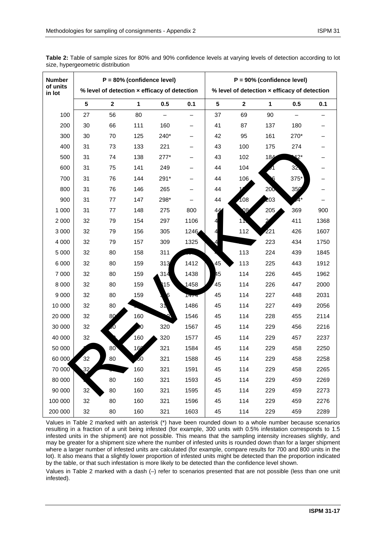| <b>Number</b><br>of units |                 |              | $P = 80\%$ (confidence level) |                                              |      |                |                                              | $P = 90\%$ (confidence level) |      |      |
|---------------------------|-----------------|--------------|-------------------------------|----------------------------------------------|------|----------------|----------------------------------------------|-------------------------------|------|------|
| in lot                    |                 |              |                               | % level of detection x efficacy of detection |      |                | % level of detection x efficacy of detection |                               |      |      |
|                           | $5\phantom{a}$  | $\mathbf{2}$ | $\mathbf{1}$                  | 0.5                                          | 0.1  | $5\phantom{1}$ | $\mathbf{2}$                                 | $\mathbf{1}$                  | 0.5  | 0.1  |
| 100                       | 27              | 56           | 80                            |                                              |      | 37             | 69                                           | 90                            |      |      |
| 200                       | 30              | 66           | 111                           | 160                                          |      | 41             | 87                                           | 137                           | 180  |      |
| 300                       | 30              | 70           | 125                           | 240*                                         |      | 42             | 95                                           | 161                           | 270* |      |
| 400                       | 31              | 73           | 133                           | 221                                          |      | 43             | 100                                          | 175                           | 274  |      |
| 500                       | 31              | 74           | 138                           | $277*$                                       |      | 43             | 102                                          | 184                           | 12*  |      |
| 600                       | 31              | 75           | 141                           | 249                                          |      | 44             | 104                                          |                               | 32   |      |
| 700                       | 31              | 76           | 144                           | 291*                                         |      | 44             | 106                                          |                               | 375* |      |
| 800                       | 31              | 76           | 146                           | 265                                          |      | 44             |                                              | 200                           | 350  |      |
| 900                       | 31              | 77           | 147                           | 298*                                         |      | 44             | 108                                          | 203                           |      |      |
| 1 000                     | 31              | 77           | 148                           | 275                                          | 800  | 44             | $\overline{Q8}$                              | 205                           | 369  | 900  |
| 2 0 0 0                   | 32              | 79           | 154                           | 297                                          | 1106 | 4              | 11                                           | $\mathfrak{p}$                | 411  | 1368 |
| 3 0 0 0                   | 32              | 79           | 156                           | 305                                          | 1246 | 4              | 112                                          | 221                           | 426  | 1607 |
| 4 0 0 0                   | 32              | 79           | 157                           | 309                                          | 1325 | 4              |                                              | 223                           | 434  | 1750 |
| 5 0 0 0                   | 32              | 80           | 158                           | 311                                          |      |                | 113                                          | 224                           | 439  | 1845 |
| 6 0 0 0                   | 32              | 80           | 159                           | 313                                          | 1412 | 45             | 113                                          | 225                           | 443  | 1912 |
| 7 000                     | 32              | 80           | 159                           | 314                                          | 1438 | 45             | 114                                          | 226                           | 445  | 1962 |
| 8 0 0 0                   | 32              | 80           | 159                           | 15                                           | 1458 | 45             | 114                                          | 226                           | 447  | 2000 |
| 9 0 0 0                   | 32              | 80           | 159                           |                                              | 1474 | 45             | 114                                          | 227                           | 448  | 2031 |
| 10 000                    | 32              | 80           |                               | 31                                           | 1486 | 45             | 114                                          | 227                           | 449  | 2056 |
| 20 000                    | 32              | 80           | 160                           |                                              | 1546 | 45             | 114                                          | 228                           | 455  | 2114 |
| 30 000                    | 32              | JU.          | Ю                             | 320                                          | 1567 | 45             | 114                                          | 229                           | 456  | 2216 |
| 40 000                    | 32              |              | 160                           | 320                                          | 1577 | 45             | 114                                          | 229                           | 457  | 2237 |
| 50 000                    |                 | 80           | 160                           | 321                                          | 1584 | 45             | 114                                          | 229                           | 458  | 2250 |
| 60 000                    | 32              | 80           | 50                            | 321                                          | 1588 | 45             | 114                                          | 229                           | 458  | 2258 |
| 70 000                    | 32              |              | 160                           | 321                                          | 1591 | 45             | 114                                          | 229                           | 458  | 2265 |
| 80 000                    |                 | 80           | 160                           | 321                                          | 1593 | 45             | 114                                          | 229                           | 459  | 2269 |
| 90 000                    | 32 <sup>2</sup> | 80           | 160                           | 321                                          | 1595 | 45             | 114                                          | 229                           | 459  | 2273 |
| 100 000                   | 32              | 80           | 160                           | 321                                          | 1596 | 45             | 114                                          | 229                           | 459  | 2276 |
| 200 000                   | 32              | 80           | 160                           | 321                                          | 1603 | 45             | 114                                          | 229                           | 459  | 2289 |

**Table 2:** Table of sample sizes for 80% and 90% confidence levels at varying levels of detection according to lot size, hypergeometric distribution

Values in Table 2 marked with an asterisk (\*) have been rounded down to a whole number because scenarios resulting in a fraction of a unit being infested (for example, 300 units with 0.5% infestation corresponds to 1.5 infested units in the shipment) are not possible. This means that the sampling intensity increases slightly, and may be greater for a shipment size where the number of infested units is rounded down than for a larger shipment where a larger number of infested units are calculated (for example, compare results for 700 and 800 units in the lot). It also means that a slightly lower proportion of infested units might be detected than the proportion indicated by the table, or that such infestation is more likely to be detected than the confidence level shown.

Values in Table 2 marked with a dash (–) refer to scenarios presented that are not possible (less than one unit infested).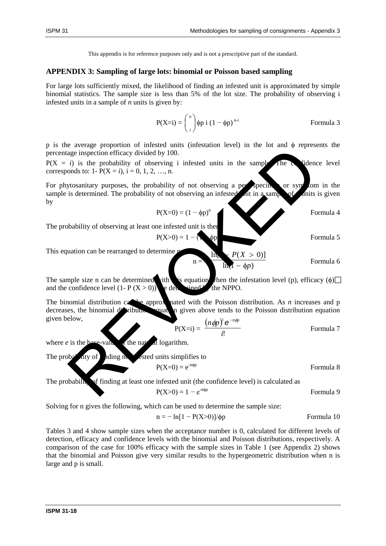### **APPENDIX 3: Sampling of large lots: binomial or Poisson based sampling**

For large lots sufficiently mixed, the likelihood of finding an infested unit is approximated by simple binomial statistics. The sample size is less than 5% of the lot size. The probability of observing i infested units in a sample of *n* units is given by:

$$
P(X=i) = \binom{n}{i} \phi p \ i \ (1 - \phi p)^{n-i}
$$
 Formula 3

p is the average proportion of infested units (infestation level) in the lot and φ represents the percentage inspection efficacy divided by 100.

 $P(X = i)$  is the probability of observing i infested units in the sample. The confidence level corresponds to: 1-  $P(X = i)$ ,  $i = 0, 1, 2, ..., n$ .

For phytosanitary purposes, the probability of not observing a perspecimen or symptom in the sample is determined. The probability of not observing an infested in a sample of inits is given by

$$
P(X=0) = (1 - \phi p)^n
$$
 Formula 4

The probability of observing at least one infested unit is then

$$
P(X>0) = 1 - (\bullet) \quad \text{for } \quad \text{Formula 5}
$$

This equation can be rearranged to determine

$$
n = \frac{\ln_{\mathbf{A}}}{\ln_{\mathbf{A}} - \phi p} \qquad \qquad \text{Formula 6}
$$

The sample size n can be determined with this equation when the infestation level (p), efficacy ( $\phi$ ) and the confidence level  $(1 - P(X > 0))$  are determined by the NPPO.

The binomial distribution can be approximated with the Poisson distribution. As *n* increases and p decreases, the binomial distribution squation given above tends to the Poisson distribution equation given below, exercise proposars of mixed units in the sample size inspection efficient divided by 100.<br>
is the probability of observing i infested units in the sample share of the probability of not observing a newspective is determin

$$
P(X=i) = \frac{(n\phi p)^{i} e^{-n\phi p}}{i!}
$$
 Formula 7

where  $e$  is the base-value of the natural logarithm.

The probability of  $\frac{1}{2}$  and  $\frac{1}{2}$  and  $\frac{1}{2}$  and  $\frac{1}{2}$  and  $\frac{1}{2}$  and  $\frac{1}{2}$  and  $\frac{1}{2}$  and  $\frac{1}{2}$  and  $\frac{1}{2}$  and  $\frac{1}{2}$  and  $\frac{1}{2}$  and  $\frac{1}{2}$  and  $\frac{1}{2}$  and  $\frac{1}{2}$  and  $\frac{1}{$ 

$$
P(X=0) = e^{-n\phi p}
$$
 Formula 8

The probability of finding at least one infested unit (the confidence level) is calculated as

$$
P(X>0) = 1 - e^{-n\phi p}
$$
 Formula 9

Solving for n gives the following, which can be used to determine the sample size:

$$
n = -\ln[1 - P(X>0)]/6p
$$
 Formula 10

Tables 3 and 4 show sample sizes when the acceptance number is 0, calculated for different levels of detection, efficacy and confidence levels with the binomial and Poisson distributions, respectively. A comparison of the case for 100% efficacy with the sample sizes in Table 1 (see Appendix 2) shows that the binomial and Poisson give very similar results to the hypergeometric distribution when n is large and p is small.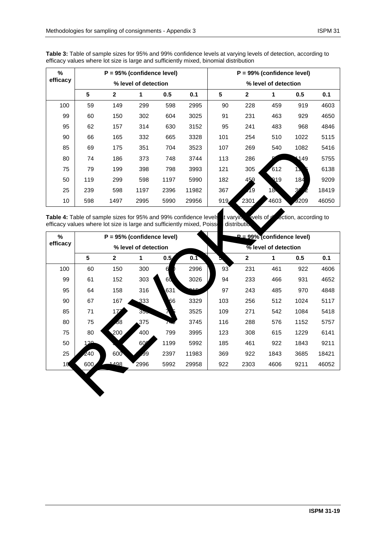| %        |                      |      | $P = 95%$ (confidence level) |      |                      |     |              | $P = 99\%$ (confidence level) |           |       |
|----------|----------------------|------|------------------------------|------|----------------------|-----|--------------|-------------------------------|-----------|-------|
| efficacy | % level of detection |      |                              |      | % level of detection |     |              |                               |           |       |
|          | 5                    | 2    | 1                            | 0.5  | 0.1                  | 5   | $\mathbf{2}$ | 1                             | 0.5       | 0.1   |
| 100      | 59                   | 149  | 299                          | 598  | 2995                 | 90  | 228          | 459                           | 919       | 4603  |
| 99       | 60                   | 150  | 302                          | 604  | 3025                 | 91  | 231          | 463                           | 929       | 4650  |
| 95       | 62                   | 157  | 314                          | 630  | 3152                 | 95  | 241          | 483                           | 968       | 4846  |
| 90       | 66                   | 165  | 332                          | 665  | 3328                 | 101 | 254          | 510                           | 1022      | 5115  |
| 85       | 69                   | 175  | 351                          | 704  | 3523                 | 107 | 269          | 540                           | 1082      | 5416  |
| 80       | 74                   | 186  | 373                          | 748  | 3744                 | 113 | 286          |                               | 149       | 5755  |
| 75       | 79                   | 199  | 398                          | 798  | 3993                 | 121 | 305          | 612                           | <b>1Σ</b> | 6138  |
| 50       | 119                  | 299  | 598                          | 1197 | 5990                 | 182 | 459          | 219                           | 184       | 9209  |
| 25       | 239                  | 598  | 1197                         | 2396 | 11982                | 367 | 19           | $18-$                         | 30        | 18419 |
| 10       | 598                  | 1497 | 2995                         | 5990 | 29956                | 919 | 2301         | 4603                          | 9209      | 46050 |

**Table 3:** Table of sample sizes for 95% and 99% confidence levels at varying levels of detection, according to efficacy values where lot size is large and sufficiently mixed, binomial distribution

| 85       | 69                                                                                                                                        | 175         | 351                          | 704  | 3523  | 107       | 269                       | 540                                | 1082                 | 5416  |
|----------|-------------------------------------------------------------------------------------------------------------------------------------------|-------------|------------------------------|------|-------|-----------|---------------------------|------------------------------------|----------------------|-------|
| 80       | 74                                                                                                                                        | 186         | 373                          | 748  | 3744  | 113       | 286                       |                                    | 149                  | 5755  |
| 75       | 79                                                                                                                                        | 199         | 398                          | 798  | 3993  | 121       | 305                       | 612                                | 12                   | 6138  |
| 50       | 119                                                                                                                                       | 299         | 598                          | 1197 | 5990  | 182       | 459                       | Q19                                | 184                  | 9209  |
| 25       | 239                                                                                                                                       | 598         | 1197                         | 2396 | 11982 | 367       | ſ9                        | $18-$                              | 30                   | 18419 |
| 10       | 598                                                                                                                                       | 1497        | 2995                         | 5990 | 29956 | 919       | 2301                      | 4603                               | 9209                 | 46050 |
| %        | Table 4: Table of sample sizes for 95% and 99% confidence levels<br>efficacy values where lot size is large and sufficiently mixed, Poiss |             | $P = 95%$ (confidence level) |      |       | t varyin, | evels of c<br>distributio | $P = 99\%$ (confidence level)      | ection, according to |       |
| efficacy |                                                                                                                                           |             | % level of detection         |      |       |           |                           | $\overline{\%}$ level of detection |                      |       |
|          | 5                                                                                                                                         | $\mathbf 2$ | 1                            | 0.5  | 0.1   |           | $\mathbf{2}$              | 1                                  | 0.5                  | 0.1   |
| 100      | 60                                                                                                                                        | 150         | 300                          | 6    | 2996  | 93        | 231                       | 461                                | 922                  | 4606  |
| 99       | 61                                                                                                                                        | 152         | 303                          | 60   | 3026  | 94        | 233                       | 466                                | 931                  | 4652  |
| 95       | 64                                                                                                                                        | 158         | 316                          | 631  |       | 97        | 243                       | 485                                | 970                  | 4848  |
| 90       | 67                                                                                                                                        | 167         | 333                          | 66   | 3329  | 103       | 256                       | 512                                | 1024                 | 5117  |
| 85       | 71                                                                                                                                        | 172         | 35.                          |      | 3525  | 109       | 271                       | 542                                | 1084                 | 5418  |
| 80       | 75                                                                                                                                        | 68          | 375                          |      | 3745  | 116       | 288                       | 576                                | 1152                 | 5757  |
| 75       | 80                                                                                                                                        | 200         | 400                          | 799  | 3995  | 123       | 308                       | 615                                | 1229                 | 6141  |
|          |                                                                                                                                           |             | 60                           | 1199 | 5992  | 185       | 461                       | 922                                | 1843                 | 9211  |
| 50       | 120                                                                                                                                       |             |                              |      |       |           |                           |                                    |                      |       |
| 25       | 240                                                                                                                                       | 600         | J9                           | 2397 | 11983 | 369       | 922                       | 1843                               | 3685                 | 18421 |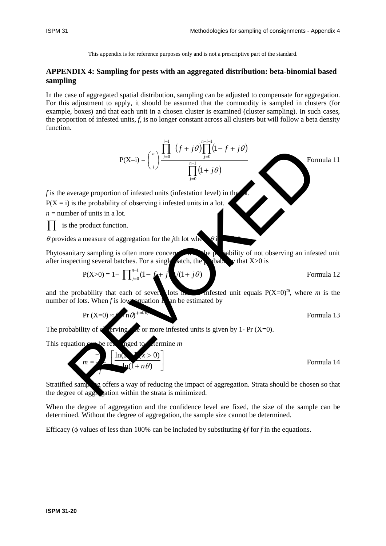### **APPENDIX 4: Sampling for pests with an aggregated distribution: beta-binomial based sampling**

In the case of aggregated spatial distribution, sampling can be adjusted to compensate for aggregation. For this adjustment to apply, it should be assumed that the commodity is sampled in clusters (for example, boxes) and that each unit in a chosen cluster is examined (cluster sampling). In such cases, the proportion of infested units, *f*, is no longer constant across all clusters but will follow a beta density function.



and the probability that each of several lots has no infested unit equals  $P(X=0)^m$ , where *m* is the number of lots. When  $f$  is low, equation  $\Lambda$  an be estimated by

$$
Pr(X=0) \approx 100^{\text{cm}t/\sigma}
$$
 Formula 13

The probability of  $\alpha$  erving  $\alpha$  or more infested units is given by 1- Pr (X=0).

This equation can be real anged to dermine *m* 

$$
m = \frac{1}{\ln(1+n\theta)}
$$
 Formula 14

Stratified samples of fers a way of reducing the impact of aggregation. Strata should be chosen so that the degree of aggregation within the strata is minimized.

When the degree of aggregation and the confidence level are fixed, the size of the sample can be determined. Without the degree of aggregation, the sample size cannot be determined.

Efficacy (φ values of less than 100% can be included by substituting φ*f* for *f* in the equations.